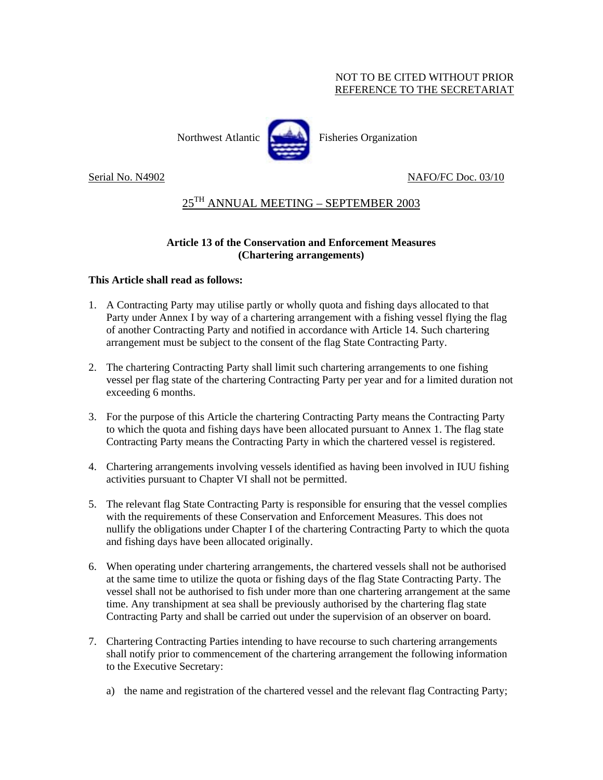### NOT TO BE CITED WITHOUT PRIOR REFERENCE TO THE SECRETARIAT



Northwest Atlantic Fisheries Organization

# Serial No. N4902 NAFO/FC Doc. 03/10

# $25<sup>TH</sup>$  ANNUAL MEETING – SEPTEMBER 2003

## **Article 13 of the Conservation and Enforcement Measures (Chartering arrangements)**

#### **This Article shall read as follows:**

- 1. A Contracting Party may utilise partly or wholly quota and fishing days allocated to that Party under Annex I by way of a chartering arrangement with a fishing vessel flying the flag of another Contracting Party and notified in accordance with Article 14. Such chartering arrangement must be subject to the consent of the flag State Contracting Party.
- 2. The chartering Contracting Party shall limit such chartering arrangements to one fishing vessel per flag state of the chartering Contracting Party per year and for a limited duration not exceeding 6 months.
- 3. For the purpose of this Article the chartering Contracting Party means the Contracting Party to which the quota and fishing days have been allocated pursuant to Annex 1. The flag state Contracting Party means the Contracting Party in which the chartered vessel is registered.
- 4. Chartering arrangements involving vessels identified as having been involved in IUU fishing activities pursuant to Chapter VI shall not be permitted.
- 5. The relevant flag State Contracting Party is responsible for ensuring that the vessel complies with the requirements of these Conservation and Enforcement Measures. This does not nullify the obligations under Chapter I of the chartering Contracting Party to which the quota and fishing days have been allocated originally.
- 6. When operating under chartering arrangements, the chartered vessels shall not be authorised at the same time to utilize the quota or fishing days of the flag State Contracting Party. The vessel shall not be authorised to fish under more than one chartering arrangement at the same time. Any transhipment at sea shall be previously authorised by the chartering flag state Contracting Party and shall be carried out under the supervision of an observer on board.
- 7. Chartering Contracting Parties intending to have recourse to such chartering arrangements shall notify prior to commencement of the chartering arrangement the following information to the Executive Secretary:
	- a) the name and registration of the chartered vessel and the relevant flag Contracting Party;